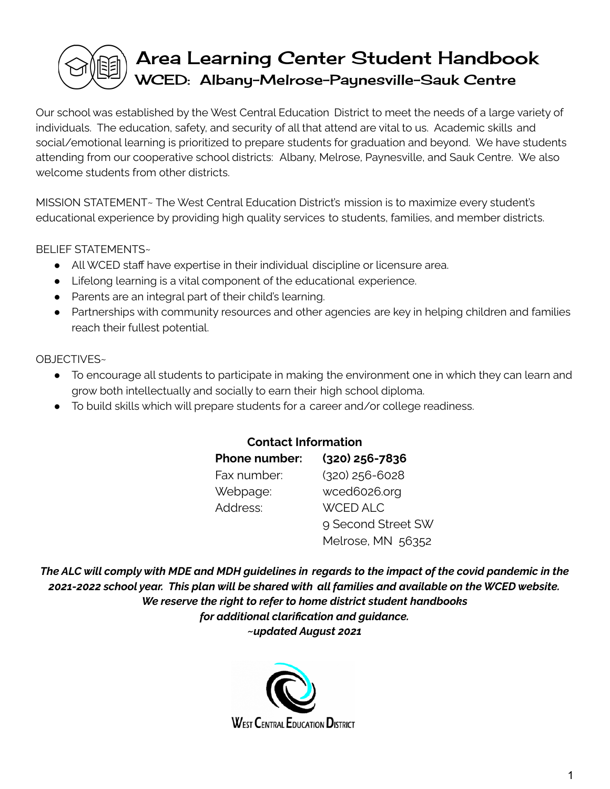# Area Learning Center Student Handbook WCED: Albany-Melrose-Paynesville-Sauk Centre

Our school was established by the West Central Education District to meet the needs of a large variety of individuals. The education, safety, and security of all that attend are vital to us. Academic skills and social/emotional learning is prioritized to prepare students for graduation and beyond. We have students attending from our cooperative school districts: Albany, Melrose, Paynesville, and Sauk Centre. We also welcome students from other districts.

MISSION STATEMENT~ The West Central Education District's mission is to maximize every student's educational experience by providing high quality services to students, families, and member districts.

BELIEF STATEMENTS~

- All WCED staff have expertise in their individual discipline or licensure area.
- Lifelong learning is a vital component of the educational experience.
- Parents are an integral part of their child's learning.
- Partnerships with community resources and other agencies are key in helping children and families reach their fullest potential.

#### OBJECTIVES~

- To encourage all students to participate in making the environment one in which they can learn and grow both intellectually and socially to earn their high school diploma.
- To build skills which will prepare students for a career and/or college readiness.

#### **Contact Information**

| <b>Phone number:</b> | (320) 256-7836     |
|----------------------|--------------------|
| Fax number:          | $(320)$ 256-6028   |
| Webpage:             | wced6026.org       |
| Address:             | <b>WCED ALC</b>    |
|                      | 9 Second Street SW |
|                      | Melrose, MN 56352  |

The ALC will comply with MDE and MDH quidelines in regards to the impact of the covid pandemic in the *2021-2022 school year. This plan will be shared with all families and available on the WCED website. We reserve the right to refer to home district student handbooks for additional clarification and guidance. ~updated August 2021*

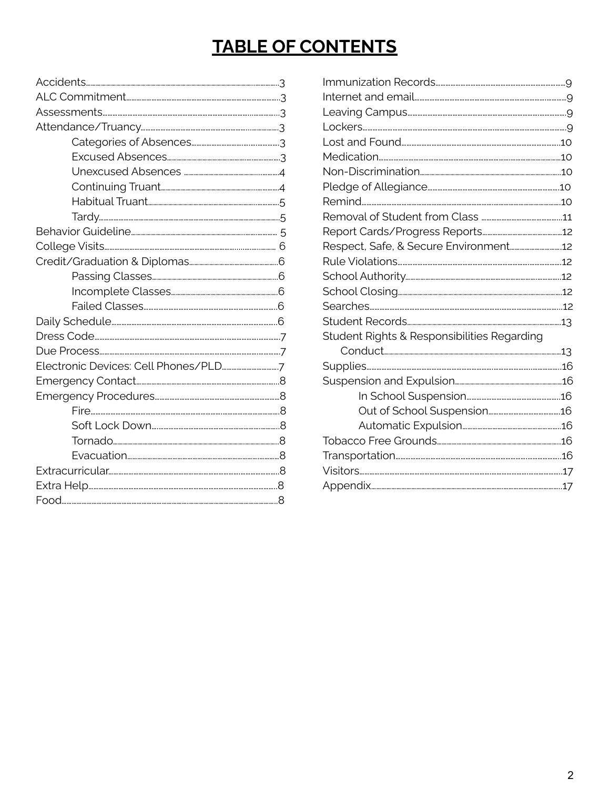## **TABLE OF CONTENTS**

| Student Rights & Responsibilities Regarding |
|---------------------------------------------|
|                                             |
|                                             |
|                                             |
|                                             |
|                                             |
|                                             |
|                                             |
|                                             |
|                                             |
|                                             |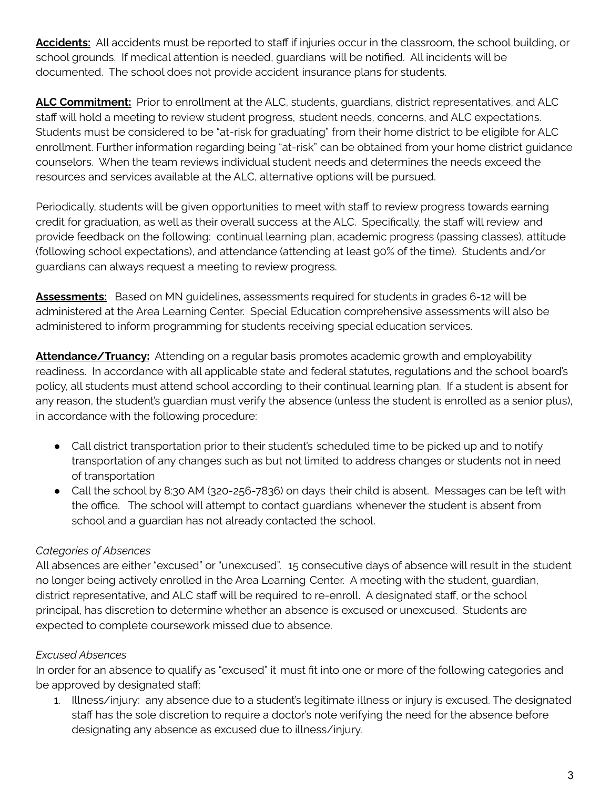**Accidents:** All accidents must be reported to staff if injuries occur in the classroom, the school building, or school grounds. If medical attention is needed, guardians will be notified. All incidents will be documented. The school does not provide accident insurance plans for students.

**ALC Commitment:** Prior to enrollment at the ALC, students, guardians, district representatives, and ALC staff will hold a meeting to review student progress, student needs, concerns, and ALC expectations. Students must be considered to be "at-risk for graduating" from their home district to be eligible for ALC enrollment. Further information regarding being "at-risk" can be obtained from your home district guidance counselors. When the team reviews individual student needs and determines the needs exceed the resources and services available at the ALC, alternative options will be pursued.

Periodically, students will be given opportunities to meet with staff to review progress towards earning credit for graduation, as well as their overall success at the ALC. Specifically, the staff will review and provide feedback on the following: continual learning plan, academic progress (passing classes), attitude (following school expectations), and attendance (attending at least 90% of the time). Students and/or guardians can always request a meeting to review progress.

**Assessments:** Based on MN guidelines, assessments required for students in grades 6-12 will be administered at the Area Learning Center. Special Education comprehensive assessments will also be administered to inform programming for students receiving special education services.

**Attendance/Truancy:** Attending on a regular basis promotes academic growth and employability readiness. In accordance with all applicable state and federal statutes, regulations and the school board's policy, all students must attend school according to their continual learning plan. If a student is absent for any reason, the student's guardian must verify the absence (unless the student is enrolled as a senior plus), in accordance with the following procedure:

- Call district transportation prior to their student's scheduled time to be picked up and to notify transportation of any changes such as but not limited to address changes or students not in need of transportation
- Call the school by 8:30 AM (320-256-7836) on days their child is absent. Messages can be left with the office. The school will attempt to contact guardians whenever the student is absent from school and a guardian has not already contacted the school.

## *Categories of Absences*

All absences are either "excused" or "unexcused". 15 consecutive days of absence will result in the student no longer being actively enrolled in the Area Learning Center. A meeting with the student, guardian, district representative, and ALC staff will be required to re-enroll. A designated staff, or the school principal, has discretion to determine whether an absence is excused or unexcused. Students are expected to complete coursework missed due to absence.

## *Excused Absences*

In order for an absence to qualify as "excused" it must fit into one or more of the following categories and be approved by designated staff:

1. Illness/injury: any absence due to a student's legitimate illness or injury is excused. The designated staff has the sole discretion to require a doctor's note verifying the need for the absence before designating any absence as excused due to illness/injury.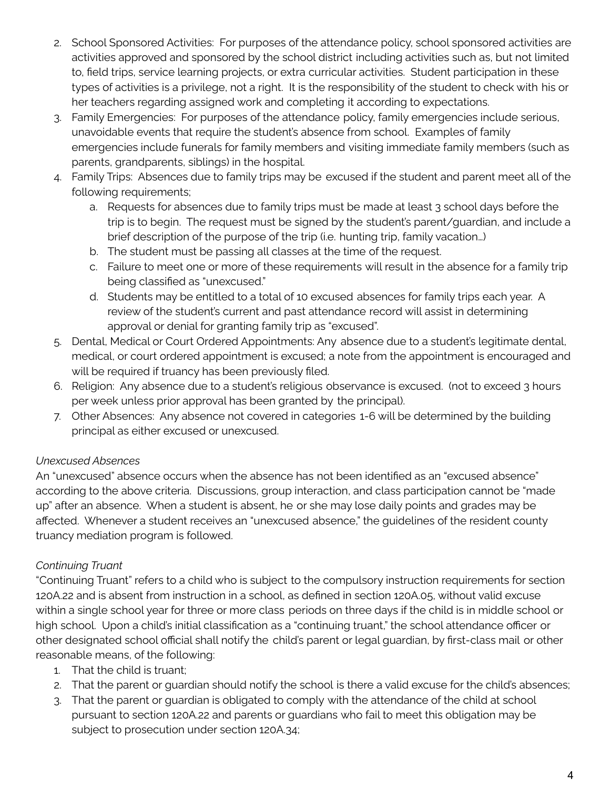- 2. School Sponsored Activities: For purposes of the attendance policy, school sponsored activities are activities approved and sponsored by the school district including activities such as, but not limited to, field trips, service learning projects, or extra curricular activities. Student participation in these types of activities is a privilege, not a right. It is the responsibility of the student to check with his or her teachers regarding assigned work and completing it according to expectations.
- 3. Family Emergencies: For purposes of the attendance policy, family emergencies include serious, unavoidable events that require the student's absence from school. Examples of family emergencies include funerals for family members and visiting immediate family members (such as parents, grandparents, siblings) in the hospital.
- 4. Family Trips: Absences due to family trips may be excused if the student and parent meet all of the following requirements;
	- a. Requests for absences due to family trips must be made at least 3 school days before the trip is to begin. The request must be signed by the student's parent/guardian, and include a brief description of the purpose of the trip (i.e. hunting trip, family vacation…)
	- b. The student must be passing all classes at the time of the request.
	- c. Failure to meet one or more of these requirements will result in the absence for a family trip being classified as "unexcused."
	- d. Students may be entitled to a total of 10 excused absences for family trips each year. A review of the student's current and past attendance record will assist in determining approval or denial for granting family trip as "excused".
- 5. Dental, Medical or Court Ordered Appointments: Any absence due to a student's legitimate dental, medical, or court ordered appointment is excused; a note from the appointment is encouraged and will be required if truancy has been previously filed.
- 6. Religion: Any absence due to a student's religious observance is excused. (not to exceed 3 hours per week unless prior approval has been granted by the principal).
- 7. Other Absences: Any absence not covered in categories 1-6 will be determined by the building principal as either excused or unexcused.

## *Unexcused Absences*

An "unexcused" absence occurs when the absence has not been identified as an "excused absence" according to the above criteria. Discussions, group interaction, and class participation cannot be "made up" after an absence. When a student is absent, he or she may lose daily points and grades may be affected. Whenever a student receives an "unexcused absence," the guidelines of the resident county truancy mediation program is followed.

#### *Continuing Truant*

"Continuing Truant" refers to a child who is subject to the compulsory instruction requirements for section 120A.22 and is absent from instruction in a school, as defined in section 120A.05, without valid excuse within a single school year for three or more class periods on three days if the child is in middle school or high school. Upon a child's initial classification as a "continuing truant," the school attendance officer or other designated school official shall notify the child's parent or legal guardian, by first-class mail or other reasonable means, of the following:

- 1. That the child is truant;
- 2. That the parent or guardian should notify the school is there a valid excuse for the child's absences;
- 3. That the parent or guardian is obligated to comply with the attendance of the child at school pursuant to section 120A.22 and parents or guardians who fail to meet this obligation may be subject to prosecution under section 120A.34;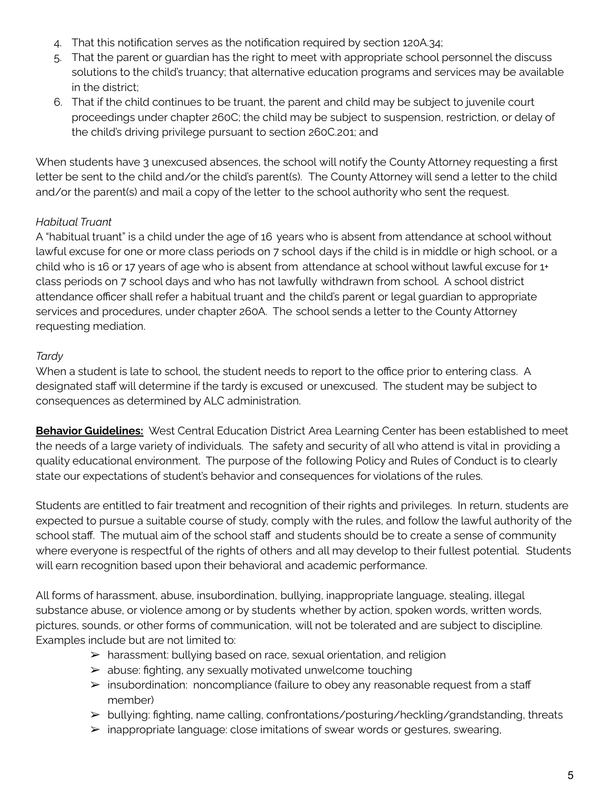- 4. That this notification serves as the notification required by section 120A.34;
- 5. That the parent or guardian has the right to meet with appropriate school personnel the discuss solutions to the child's truancy; that alternative education programs and services may be available in the district;
- 6. That if the child continues to be truant, the parent and child may be subject to juvenile court proceedings under chapter 260C; the child may be subject to suspension, restriction, or delay of the child's driving privilege pursuant to section 260C.201; and

When students have 3 unexcused absences, the school will notify the County Attorney requesting a first letter be sent to the child and/or the child's parent(s). The County Attorney will send a letter to the child and/or the parent(s) and mail a copy of the letter to the school authority who sent the request.

#### *Habitual Truant*

A "habitual truant" is a child under the age of 16 years who is absent from attendance at school without lawful excuse for one or more class periods on 7 school days if the child is in middle or high school, or a child who is 16 or 17 years of age who is absent from attendance at school without lawful excuse for 1+ class periods on 7 school days and who has not lawfully withdrawn from school. A school district attendance officer shall refer a habitual truant and the child's parent or legal guardian to appropriate services and procedures, under chapter 260A. The school sends a letter to the County Attorney requesting mediation.

### *Tardy*

When a student is late to school, the student needs to report to the office prior to entering class. A designated staff will determine if the tardy is excused or unexcused. The student may be subject to consequences as determined by ALC administration.

**Behavior Guidelines:** West Central Education District Area Learning Center has been established to meet the needs of a large variety of individuals. The safety and security of all who attend is vital in providing a quality educational environment. The purpose of the following Policy and Rules of Conduct is to clearly state our expectations of student's behavior and consequences for violations of the rules.

Students are entitled to fair treatment and recognition of their rights and privileges. In return, students are expected to pursue a suitable course of study, comply with the rules, and follow the lawful authority of the school staff. The mutual aim of the school staff and students should be to create a sense of community where everyone is respectful of the rights of others and all may develop to their fullest potential. Students will earn recognition based upon their behavioral and academic performance.

All forms of harassment, abuse, insubordination, bullying, inappropriate language, stealing, illegal substance abuse, or violence among or by students whether by action, spoken words, written words, pictures, sounds, or other forms of communication, will not be tolerated and are subject to discipline. Examples include but are not limited to:

- $\triangleright$  harassment: bullying based on race, sexual orientation, and religion
- $\triangleright$  abuse: fighting, any sexually motivated unwelcome touching
- ➢ insubordination: noncompliance (failure to obey any reasonable request from a staff member)
- $\triangleright$  bullying: fighting, name calling, confrontations/posturing/heckling/grandstanding, threats
- $\triangleright$  inappropriate language: close imitations of swear words or gestures, swearing,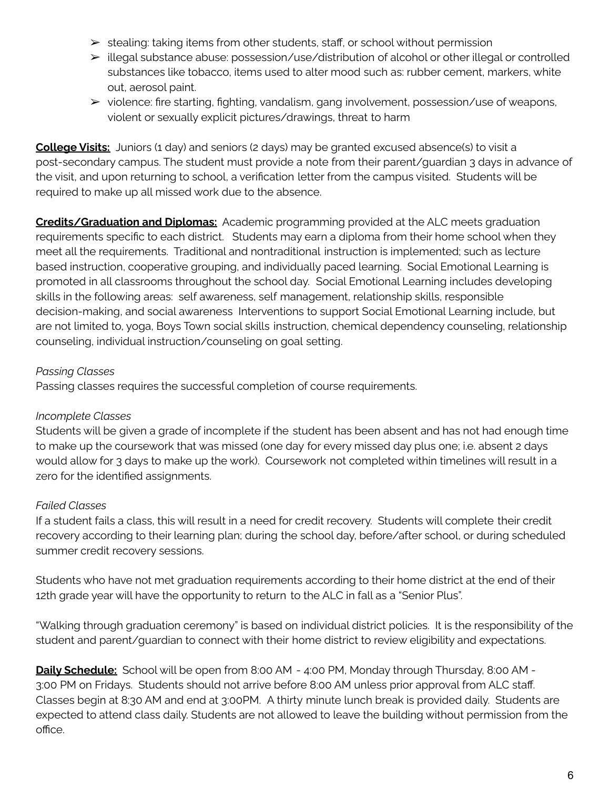- $\triangleright$  stealing: taking items from other students, staff, or school without permission
- ➢ illegal substance abuse: possession/use/distribution of alcohol or other illegal or controlled substances like tobacco, items used to alter mood such as: rubber cement, markers, white out, aerosol paint.
- $\triangleright$  violence: fire starting, fighting, vandalism, gang involvement, possession/use of weapons, violent or sexually explicit pictures/drawings, threat to harm

**College Visits:** Juniors (1 day) and seniors (2 days) may be granted excused absence(s) to visit a post-secondary campus. The student must provide a note from their parent/guardian 3 days in advance of the visit, and upon returning to school, a verification letter from the campus visited. Students will be required to make up all missed work due to the absence.

**Credits/Graduation and Diplomas:** Academic programming provided at the ALC meets graduation requirements specific to each district. Students may earn a diploma from their home school when they meet all the requirements. Traditional and nontraditional instruction is implemented; such as lecture based instruction, cooperative grouping, and individually paced learning. Social Emotional Learning is promoted in all classrooms throughout the school day. Social Emotional Learning includes developing skills in the following areas: self awareness, self management, relationship skills, responsible decision-making, and social awareness Interventions to support Social Emotional Learning include, but are not limited to, yoga, Boys Town social skills instruction, chemical dependency counseling, relationship counseling, individual instruction/counseling on goal setting.

#### *Passing Classes*

Passing classes requires the successful completion of course requirements.

#### *Incomplete Classes*

Students will be given a grade of incomplete if the student has been absent and has not had enough time to make up the coursework that was missed (one day for every missed day plus one; i.e. absent 2 days would allow for 3 days to make up the work). Coursework not completed within timelines will result in a zero for the identified assignments.

#### *Failed Classes*

If a student fails a class, this will result in a need for credit recovery. Students will complete their credit recovery according to their learning plan; during the school day, before/after school, or during scheduled summer credit recovery sessions.

Students who have not met graduation requirements according to their home district at the end of their 12th grade year will have the opportunity to return to the ALC in fall as a "Senior Plus".

"Walking through graduation ceremony" is based on individual district policies. It is the responsibility of the student and parent/guardian to connect with their home district to review eligibility and expectations.

**Daily Schedule:** School will be open from 8:00 AM - 4:00 PM, Monday through Thursday, 8:00 AM - 3:00 PM on Fridays. Students should not arrive before 8:00 AM unless prior approval from ALC staff. Classes begin at 8:30 AM and end at 3:00PM. A thirty minute lunch break is provided daily. Students are expected to attend class daily. Students are not allowed to leave the building without permission from the office.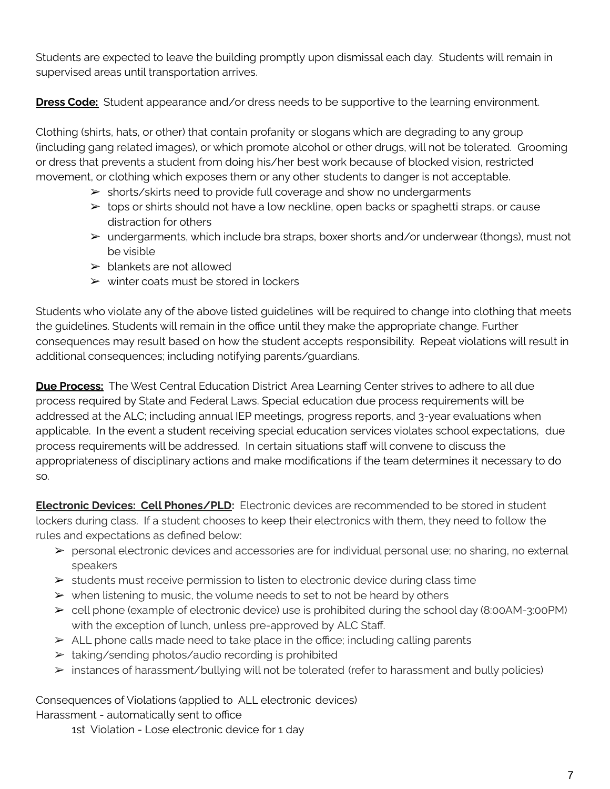Students are expected to leave the building promptly upon dismissal each day. Students will remain in supervised areas until transportation arrives.

**Dress Code:** Student appearance and/or dress needs to be supportive to the learning environment.

Clothing (shirts, hats, or other) that contain profanity or slogans which are degrading to any group (including gang related images), or which promote alcohol or other drugs, will not be tolerated. Grooming or dress that prevents a student from doing his/her best work because of blocked vision, restricted movement, or clothing which exposes them or any other students to danger is not acceptable.

- ➢ shorts/skirts need to provide full coverage and show no undergarments
- ➢ tops or shirts should not have a low neckline, open backs or spaghetti straps, or cause distraction for others
- $\triangleright$  undergarments, which include bra straps, boxer shorts and/or underwear (thongs), must not be visible
- $\triangleright$  blankets are not allowed
- $\triangleright$  winter coats must be stored in lockers

Students who violate any of the above listed guidelines will be required to change into clothing that meets the guidelines. Students will remain in the office until they make the appropriate change. Further consequences may result based on how the student accepts responsibility. Repeat violations will result in additional consequences; including notifying parents/guardians.

**Due Process:** The West Central Education District Area Learning Center strives to adhere to all due process required by State and Federal Laws. Special education due process requirements will be addressed at the ALC; including annual IEP meetings, progress reports, and 3-year evaluations when applicable. In the event a student receiving special education services violates school expectations, due process requirements will be addressed. In certain situations staff will convene to discuss the appropriateness of disciplinary actions and make modifications if the team determines it necessary to do so.

**Electronic Devices: Cell Phones/PLD:** Electronic devices are recommended to be stored in student lockers during class. If a student chooses to keep their electronics with them, they need to follow the rules and expectations as defined below:

- ➢ personal electronic devices and accessories are for individual personal use; no sharing, no external speakers
- $\triangleright$  students must receive permission to listen to electronic device during class time
- $\triangleright$  when listening to music, the volume needs to set to not be heard by others
- $\triangleright$  cell phone (example of electronic device) use is prohibited during the school day (8:00AM-3:00PM) with the exception of lunch, unless pre-approved by ALC Staff.
- $\triangleright$  ALL phone calls made need to take place in the office; including calling parents
- $\triangleright$  taking/sending photos/audio recording is prohibited
- $\triangleright$  instances of harassment/bullying will not be tolerated (refer to harassment and bully policies)

Consequences of Violations (applied to ALL electronic devices)

Harassment - automatically sent to office

1st Violation - Lose electronic device for 1 day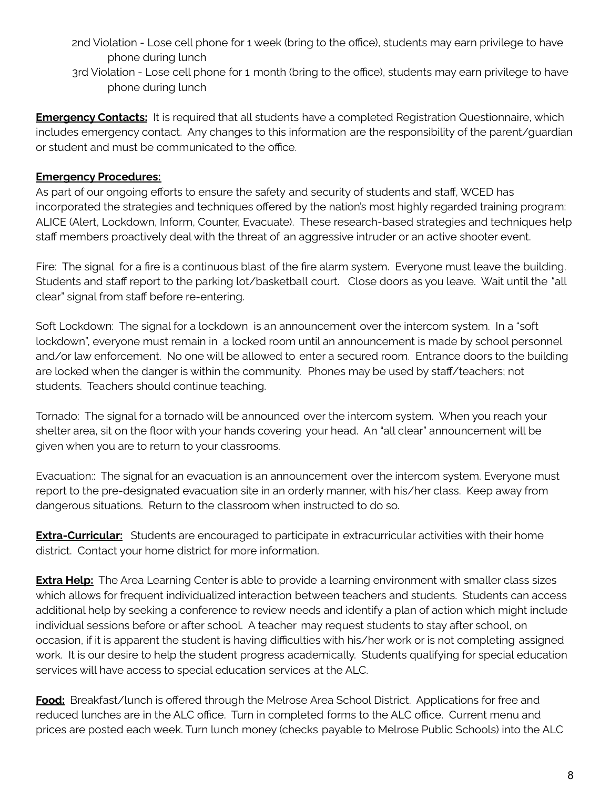- 2nd Violation Lose cell phone for 1 week (bring to the office), students may earn privilege to have phone during lunch
- 3rd Violation Lose cell phone for 1 month (bring to the office), students may earn privilege to have phone during lunch

**Emergency Contacts:** It is required that all students have a completed Registration Questionnaire, which includes emergency contact. Any changes to this information are the responsibility of the parent/guardian or student and must be communicated to the office.

#### **Emergency Procedures:**

As part of our ongoing efforts to ensure the safety and security of students and staff, WCED has incorporated the strategies and techniques offered by the nation's most highly regarded training program: ALICE (Alert, Lockdown, Inform, Counter, Evacuate). These research-based strategies and techniques help staff members proactively deal with the threat of an aggressive intruder or an active shooter event.

Fire: The signal for a fire is a continuous blast of the fire alarm system. Everyone must leave the building. Students and staff report to the parking lot/basketball court. Close doors as you leave. Wait until the "all clear" signal from staff before re-entering.

Soft Lockdown: The signal for a lockdown is an announcement over the intercom system. In a "soft lockdown", everyone must remain in a locked room until an announcement is made by school personnel and/or law enforcement. No one will be allowed to enter a secured room. Entrance doors to the building are locked when the danger is within the community. Phones may be used by staff/teachers; not students. Teachers should continue teaching.

Tornado: The signal for a tornado will be announced over the intercom system. When you reach your shelter area, sit on the floor with your hands covering your head. An "all clear" announcement will be given when you are to return to your classrooms.

Evacuation:: The signal for an evacuation is an announcement over the intercom system. Everyone must report to the pre-designated evacuation site in an orderly manner, with his/her class. Keep away from dangerous situations. Return to the classroom when instructed to do so.

**Extra-Curricular:** Students are encouraged to participate in extracurricular activities with their home district. Contact your home district for more information.

**Extra Help:** The Area Learning Center is able to provide a learning environment with smaller class sizes which allows for frequent individualized interaction between teachers and students. Students can access additional help by seeking a conference to review needs and identify a plan of action which might include individual sessions before or after school. A teacher may request students to stay after school, on occasion, if it is apparent the student is having difficulties with his/her work or is not completing assigned work. It is our desire to help the student progress academically. Students qualifying for special education services will have access to special education services at the ALC.

**Food:** Breakfast/lunch is offered through the Melrose Area School District. Applications for free and reduced lunches are in the ALC office. Turn in completed forms to the ALC office. Current menu and prices are posted each week. Turn lunch money (checks payable to Melrose Public Schools) into the ALC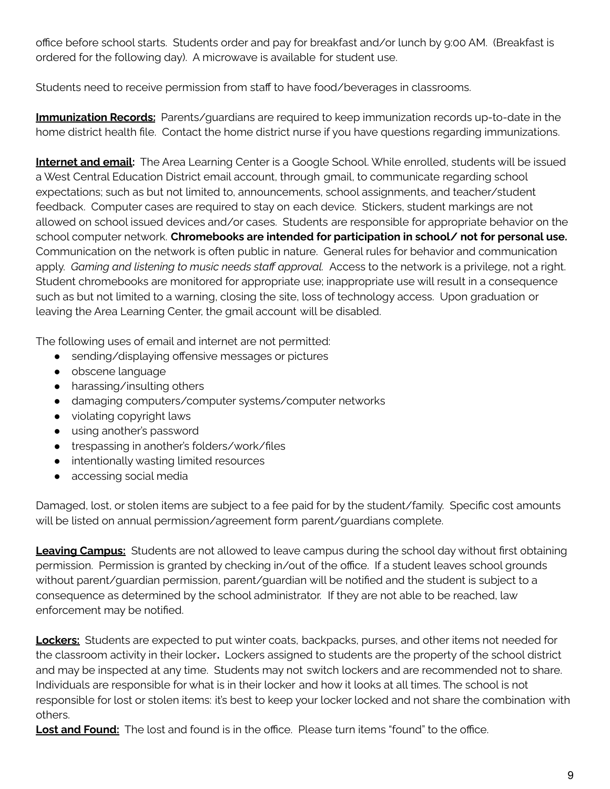office before school starts. Students order and pay for breakfast and/or lunch by 9:00 AM. (Breakfast is ordered for the following day). A microwave is available for student use.

Students need to receive permission from staff to have food/beverages in classrooms.

**Immunization Records:** Parents/guardians are required to keep immunization records up-to-date in the home district health file. Contact the home district nurse if you have questions regarding immunizations.

**Internet and email:** The Area Learning Center is a Google School. While enrolled, students will be issued a West Central Education District email account, through gmail, to communicate regarding school expectations; such as but not limited to, announcements, school assignments, and teacher/student feedback. Computer cases are required to stay on each device. Stickers, student markings are not allowed on school issued devices and/or cases. Students are responsible for appropriate behavior on the school computer network. **Chromebooks are intended for participation in school/ not for personal use.** Communication on the network is often public in nature. General rules for behavior and communication apply. *Gaming and listening to music needs staff approval.* Access to the network is a privilege, not a right. Student chromebooks are monitored for appropriate use; inappropriate use will result in a consequence such as but not limited to a warning, closing the site, loss of technology access. Upon graduation or leaving the Area Learning Center, the gmail account will be disabled.

The following uses of email and internet are not permitted:

- sending/displaying offensive messages or pictures
- obscene language
- harassing/insulting others
- damaging computers/computer systems/computer networks
- violating copyright laws
- using another's password
- trespassing in another's folders/work/files
- intentionally wasting limited resources
- accessing social media

Damaged, lost, or stolen items are subject to a fee paid for by the student/family. Specific cost amounts will be listed on annual permission/agreement form parent/guardians complete.

**Leaving Campus:** Students are not allowed to leave campus during the school day without first obtaining permission. Permission is granted by checking in/out of the office. If a student leaves school grounds without parent/guardian permission, parent/guardian will be notified and the student is subject to a consequence as determined by the school administrator. If they are not able to be reached, law enforcement may be notified.

**Lockers:** Students are expected to put winter coats, backpacks, purses, and other items not needed for the classroom activity in their locker**.** Lockers assigned to students are the property of the school district and may be inspected at any time. Students may not switch lockers and are recommended not to share. Individuals are responsible for what is in their locker and how it looks at all times. The school is not responsible for lost or stolen items: it's best to keep your locker locked and not share the combination with others.

**Lost and Found:** The lost and found is in the office. Please turn items "found" to the office.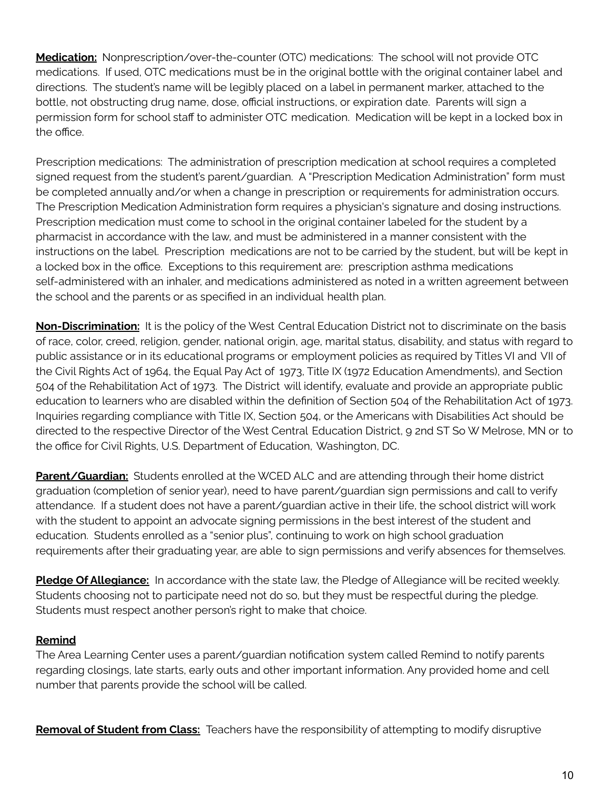**Medication:** Nonprescription/over-the-counter (OTC) medications: The school will not provide OTC medications. If used, OTC medications must be in the original bottle with the original container label and directions. The student's name will be legibly placed on a label in permanent marker, attached to the bottle, not obstructing drug name, dose, official instructions, or expiration date. Parents will sign a permission form for school staff to administer OTC medication. Medication will be kept in a locked box in the office.

Prescription medications: The administration of prescription medication at school requires a completed signed request from the student's parent/guardian. A "Prescription Medication Administration" form must be completed annually and/or when a change in prescription or requirements for administration occurs. The Prescription Medication Administration form requires a physician's signature and dosing instructions. Prescription medication must come to school in the original container labeled for the student by a pharmacist in accordance with the law, and must be administered in a manner consistent with the instructions on the label. Prescription medications are not to be carried by the student, but will be kept in a locked box in the office. Exceptions to this requirement are: prescription asthma medications self-administered with an inhaler, and medications administered as noted in a written agreement between the school and the parents or as specified in an individual health plan.

**Non-Discrimination:** It is the policy of the West Central Education District not to discriminate on the basis of race, color, creed, religion, gender, national origin, age, marital status, disability, and status with regard to public assistance or in its educational programs or employment policies as required by Titles VI and VII of the Civil Rights Act of 1964, the Equal Pay Act of 1973, Title IX (1972 Education Amendments), and Section 504 of the Rehabilitation Act of 1973. The District will identify, evaluate and provide an appropriate public education to learners who are disabled within the definition of Section 504 of the Rehabilitation Act of 1973. Inquiries regarding compliance with Title IX, Section 504, or the Americans with Disabilities Act should be directed to the respective Director of the West Central Education District, 9 2nd ST So W Melrose, MN or to the office for Civil Rights, U.S. Department of Education, Washington, DC.

**Parent/Guardian:** Students enrolled at the WCED ALC and are attending through their home district graduation (completion of senior year), need to have parent/guardian sign permissions and call to verify attendance. If a student does not have a parent/guardian active in their life, the school district will work with the student to appoint an advocate signing permissions in the best interest of the student and education. Students enrolled as a "senior plus", continuing to work on high school graduation requirements after their graduating year, are able to sign permissions and verify absences for themselves.

**Pledge Of Allegiance:** In accordance with the state law, the Pledge of Allegiance will be recited weekly. Students choosing not to participate need not do so, but they must be respectful during the pledge. Students must respect another person's right to make that choice.

#### **Remind**

The Area Learning Center uses a parent/guardian notification system called Remind to notify parents regarding closings, late starts, early outs and other important information. Any provided home and cell number that parents provide the school will be called.

**Removal of Student from Class:** Teachers have the responsibility of attempting to modify disruptive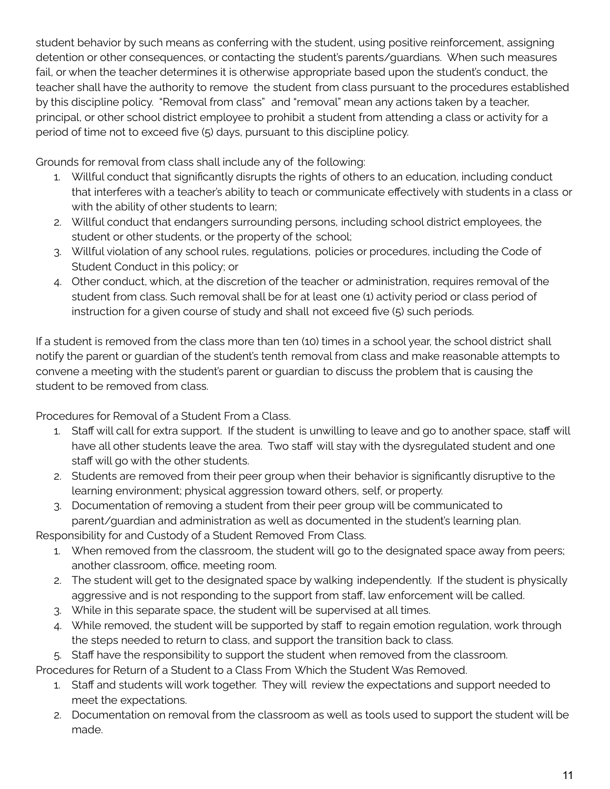student behavior by such means as conferring with the student, using positive reinforcement, assigning detention or other consequences, or contacting the student's parents/guardians. When such measures fail, or when the teacher determines it is otherwise appropriate based upon the student's conduct, the teacher shall have the authority to remove the student from class pursuant to the procedures established by this discipline policy. "Removal from class" and "removal" mean any actions taken by a teacher, principal, or other school district employee to prohibit a student from attending a class or activity for a period of time not to exceed five (5) days, pursuant to this discipline policy.

Grounds for removal from class shall include any of the following:

- 1. Willful conduct that significantly disrupts the rights of others to an education, including conduct that interferes with a teacher's ability to teach or communicate effectively with students in a class or with the ability of other students to learn;
- 2. Willful conduct that endangers surrounding persons, including school district employees, the student or other students, or the property of the school;
- 3. Willful violation of any school rules, regulations, policies or procedures, including the Code of Student Conduct in this policy; or
- 4. Other conduct, which, at the discretion of the teacher or administration, requires removal of the student from class. Such removal shall be for at least one (1) activity period or class period of instruction for a given course of study and shall not exceed five (5) such periods.

If a student is removed from the class more than ten (10) times in a school year, the school district shall notify the parent or guardian of the student's tenth removal from class and make reasonable attempts to convene a meeting with the student's parent or guardian to discuss the problem that is causing the student to be removed from class.

Procedures for Removal of a Student From a Class.

- 1. Staff will call for extra support. If the student is unwilling to leave and go to another space, staff will have all other students leave the area. Two staff will stay with the dysregulated student and one staff will go with the other students.
- 2. Students are removed from their peer group when their behavior is significantly disruptive to the learning environment; physical aggression toward others, self, or property.
- 3. Documentation of removing a student from their peer group will be communicated to parent/guardian and administration as well as documented in the student's learning plan.

Responsibility for and Custody of a Student Removed From Class.

- 1. When removed from the classroom, the student will go to the designated space away from peers; another classroom, office, meeting room.
- 2. The student will get to the designated space by walking independently. If the student is physically aggressive and is not responding to the support from staff, law enforcement will be called.
- 3. While in this separate space, the student will be supervised at all times.
- 4. While removed, the student will be supported by staff to regain emotion regulation, work through the steps needed to return to class, and support the transition back to class.

5. Staff have the responsibility to support the student when removed from the classroom.

Procedures for Return of a Student to a Class From Which the Student Was Removed.

- 1. Staff and students will work together. They will review the expectations and support needed to meet the expectations.
- 2. Documentation on removal from the classroom as well as tools used to support the student will be made.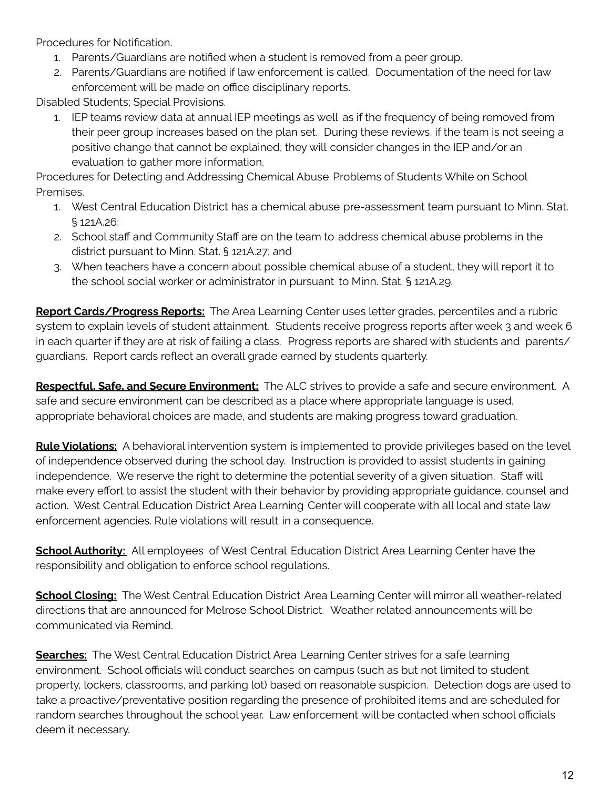Procedures for Notification.

- 1. Parents/Guardians are notified when a student is removed from a peer group.
- 2. Parents/Guardians are notified if law enforcement is called. Documentation of the need for law enforcement will be made on office disciplinary reports.

Disabled Students; Special Provisions.

1. IEP teams review data at annual IEP meetings as well as if the frequency of being removed from their peer group increases based on the plan set. During these reviews, if the team is not seeing a positive change that cannot be explained, they will consider changes in the IEP and/or an evaluation to gather more information.

Procedures for Detecting and Addressing Chemical Abuse Problems of Students While on School Premises.

- 1. West Central Education District has a chemical abuse pre-assessment team pursuant to Minn. Stat. § 121A.26;
- 2. School staff and Community Staff are on the team to address chemical abuse problems in the district pursuant to Minn. Stat. § 121A.27; and
- 3. When teachers have a concern about possible chemical abuse of a student, they will report it to the school social worker or administrator in pursuant to Minn. Stat. § 121A.29.

**Report Cards/Progress Reports:** The Area Learning Center uses letter grades, percentiles and a rubric system to explain levels of student attainment. Students receive progress reports after week 3 and week 6 in each quarter if they are at risk of failing a class. Progress reports are shared with students and parents/ guardians. Report cards reflect an overall grade earned by students quarterly.

**Respectful, Safe, and Secure Environment:** The ALC strives to provide a safe and secure environment. A safe and secure environment can be described as a place where appropriate language is used, appropriate behavioral choices are made, and students are making progress toward graduation.

**Rule Violations:** A behavioral intervention system is implemented to provide privileges based on the level of independence observed during the school day. Instruction is provided to assist students in gaining independence. We reserve the right to determine the potential severity of a given situation. Staff will make every effort to assist the student with their behavior by providing appropriate guidance, counsel and action. West Central Education District Area Learning Center will cooperate with all local and state law enforcement agencies. Rule violations will result in a consequence.

**School Authority:** All employees of West Central Education District Area Learning Center have the responsibility and obligation to enforce school regulations.

**School Closing:** The West Central Education District Area Learning Center will mirror all weather-related directions that are announced for Melrose School District. Weather related announcements will be communicated via Remind.

**Searches:** The West Central Education District Area Learning Center strives for a safe learning environment. School officials will conduct searches on campus (such as but not limited to student property, lockers, classrooms, and parking lot) based on reasonable suspicion. Detection dogs are used to take a proactive/preventative position regarding the presence of prohibited items and are scheduled for random searches throughout the school year. Law enforcement will be contacted when school officials deem it necessary.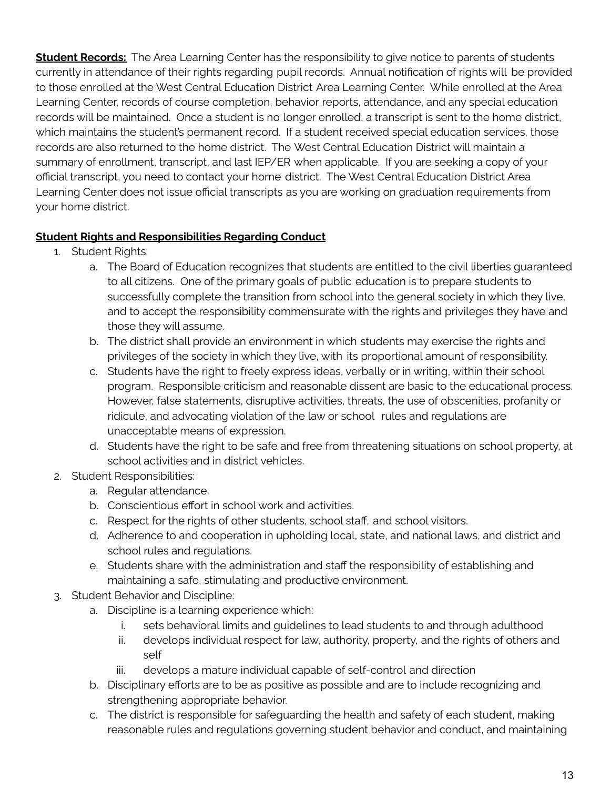**Student Records:** The Area Learning Center has the responsibility to give notice to parents of students currently in attendance of their rights regarding pupil records. Annual notification of rights will be provided to those enrolled at the West Central Education District Area Learning Center. While enrolled at the Area Learning Center, records of course completion, behavior reports, attendance, and any special education records will be maintained. Once a student is no longer enrolled, a transcript is sent to the home district, which maintains the student's permanent record. If a student received special education services, those records are also returned to the home district. The West Central Education District will maintain a summary of enrollment, transcript, and last IEP/ER when applicable. If you are seeking a copy of your official transcript, you need to contact your home district. The West Central Education District Area Learning Center does not issue official transcripts as you are working on graduation requirements from your home district.

#### **Student Rights and Responsibilities Regarding Conduct**

- 1. Student Rights:
	- a. The Board of Education recognizes that students are entitled to the civil liberties guaranteed to all citizens. One of the primary goals of public education is to prepare students to successfully complete the transition from school into the general society in which they live, and to accept the responsibility commensurate with the rights and privileges they have and those they will assume.
	- b. The district shall provide an environment in which students may exercise the rights and privileges of the society in which they live, with its proportional amount of responsibility.
	- c. Students have the right to freely express ideas, verbally or in writing, within their school program. Responsible criticism and reasonable dissent are basic to the educational process. However, false statements, disruptive activities, threats, the use of obscenities, profanity or ridicule, and advocating violation of the law or school rules and regulations are unacceptable means of expression.
	- d. Students have the right to be safe and free from threatening situations on school property, at school activities and in district vehicles.
- 2. Student Responsibilities:
	- a. Regular attendance.
	- b. Conscientious effort in school work and activities.
	- c. Respect for the rights of other students, school staff, and school visitors.
	- d. Adherence to and cooperation in upholding local, state, and national laws, and district and school rules and regulations.
	- e. Students share with the administration and staff the responsibility of establishing and maintaining a safe, stimulating and productive environment.
- 3. Student Behavior and Discipline:
	- a. Discipline is a learning experience which:
		- i. sets behavioral limits and guidelines to lead students to and through adulthood
		- ii. develops individual respect for law, authority, property, and the rights of others and self
		- iii. develops a mature individual capable of self-control and direction
	- b. Disciplinary efforts are to be as positive as possible and are to include recognizing and strengthening appropriate behavior.
	- c. The district is responsible for safeguarding the health and safety of each student, making reasonable rules and regulations governing student behavior and conduct, and maintaining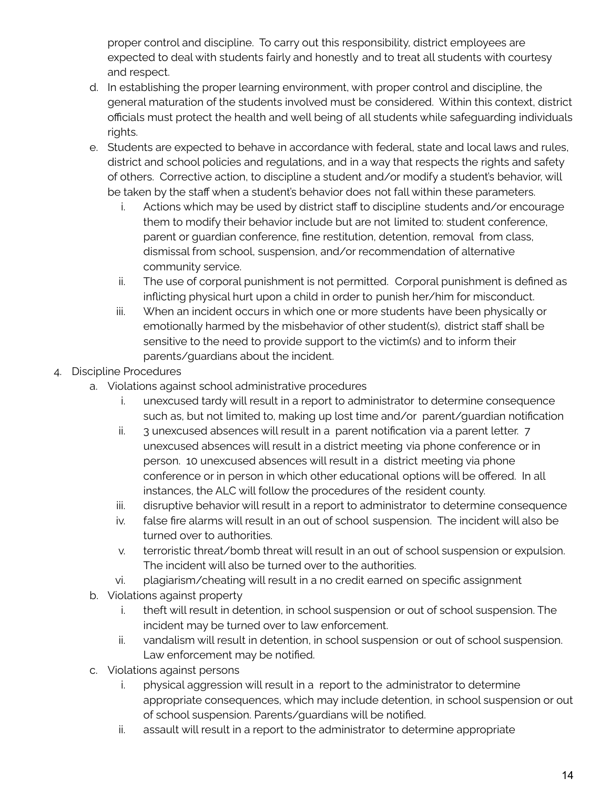proper control and discipline. To carry out this responsibility, district employees are expected to deal with students fairly and honestly and to treat all students with courtesy and respect.

- d. In establishing the proper learning environment, with proper control and discipline, the general maturation of the students involved must be considered. Within this context, district officials must protect the health and well being of all students while safeguarding individuals rights.
- e. Students are expected to behave in accordance with federal, state and local laws and rules, district and school policies and regulations, and in a way that respects the rights and safety of others. Corrective action, to discipline a student and/or modify a student's behavior, will be taken by the staff when a student's behavior does not fall within these parameters.
	- i. Actions which may be used by district staff to discipline students and/or encourage them to modify their behavior include but are not limited to: student conference, parent or guardian conference, fine restitution, detention, removal from class, dismissal from school, suspension, and/or recommendation of alternative community service.
	- ii. The use of corporal punishment is not permitted. Corporal punishment is defined as inflicting physical hurt upon a child in order to punish her/him for misconduct.
	- iii. When an incident occurs in which one or more students have been physically or emotionally harmed by the misbehavior of other student(s), district staff shall be sensitive to the need to provide support to the victim(s) and to inform their parents/guardians about the incident.
- 4. Discipline Procedures
	- a. Violations against school administrative procedures
		- i. unexcused tardy will result in a report to administrator to determine consequence such as, but not limited to, making up lost time and/or parent/guardian notification
		- ii. 3 unexcused absences will result in a parent notification via a parent letter. 7 unexcused absences will result in a district meeting via phone conference or in person. 10 unexcused absences will result in a district meeting via phone conference or in person in which other educational options will be offered. In all instances, the ALC will follow the procedures of the resident county.
		- iii. disruptive behavior will result in a report to administrator to determine consequence
		- iv. false fire alarms will result in an out of school suspension. The incident will also be turned over to authorities.
		- v. terroristic threat/bomb threat will result in an out of school suspension or expulsion. The incident will also be turned over to the authorities.
		- vi. plagiarism/cheating will result in a no credit earned on specific assignment
	- b. Violations against property
		- i. theft will result in detention, in school suspension or out of school suspension. The incident may be turned over to law enforcement.
		- ii. vandalism will result in detention, in school suspension or out of school suspension. Law enforcement may be notified.
	- c. Violations against persons
		- i. physical aggression will result in a report to the administrator to determine appropriate consequences, which may include detention, in school suspension or out of school suspension. Parents/guardians will be notified.
		- ii. assault will result in a report to the administrator to determine appropriate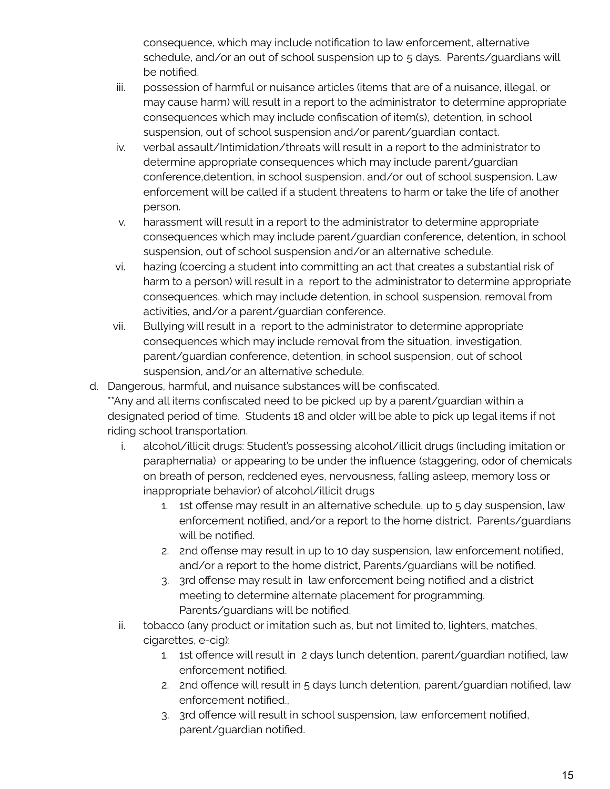consequence, which may include notification to law enforcement, alternative schedule, and/or an out of school suspension up to 5 days. Parents/guardians will be notified.

- iii. possession of harmful or nuisance articles (items that are of a nuisance, illegal, or may cause harm) will result in a report to the administrator to determine appropriate consequences which may include confiscation of item(s), detention, in school suspension, out of school suspension and/or parent/guardian contact.
- iv. verbal assault/Intimidation/threats will result in a report to the administrator to determine appropriate consequences which may include parent/guardian conference,detention, in school suspension, and/or out of school suspension. Law enforcement will be called if a student threatens to harm or take the life of another person.
- v. harassment will result in a report to the administrator to determine appropriate consequences which may include parent/guardian conference, detention, in school suspension, out of school suspension and/or an alternative schedule.
- vi. hazing (coercing a student into committing an act that creates a substantial risk of harm to a person) will result in a report to the administrator to determine appropriate consequences, which may include detention, in school suspension, removal from activities, and/or a parent/guardian conference.
- vii. Bullying will result in a report to the administrator to determine appropriate consequences which may include removal from the situation, investigation, parent/guardian conference, detention, in school suspension, out of school suspension, and/or an alternative schedule.
- d. Dangerous, harmful, and nuisance substances will be confiscated.

\*\*Any and all items confiscated need to be picked up by a parent/guardian within a designated period of time. Students 18 and older will be able to pick up legal items if not riding school transportation.

- i. alcohol/illicit drugs: Student's possessing alcohol/illicit drugs (including imitation or paraphernalia) or appearing to be under the influence (staggering, odor of chemicals on breath of person, reddened eyes, nervousness, falling asleep, memory loss or inappropriate behavior) of alcohol/illicit drugs
	- 1. 1st offense may result in an alternative schedule, up to 5 day suspension, law enforcement notified, and/or a report to the home district. Parents/guardians will be notified.
	- 2. 2nd offense may result in up to 10 day suspension, law enforcement notified, and/or a report to the home district, Parents/guardians will be notified.
	- 3. 3rd offense may result in law enforcement being notified and a district meeting to determine alternate placement for programming. Parents/guardians will be notified.
- ii. tobacco (any product or imitation such as, but not limited to, lighters, matches, cigarettes, e-cig):
	- 1. 1st offence will result in 2 days lunch detention, parent/guardian notified, law enforcement notified.
	- 2. 2nd offence will result in 5 days lunch detention, parent/guardian notified, law enforcement notified.,
	- 3. 3rd offence will result in school suspension, law enforcement notified, parent/guardian notified.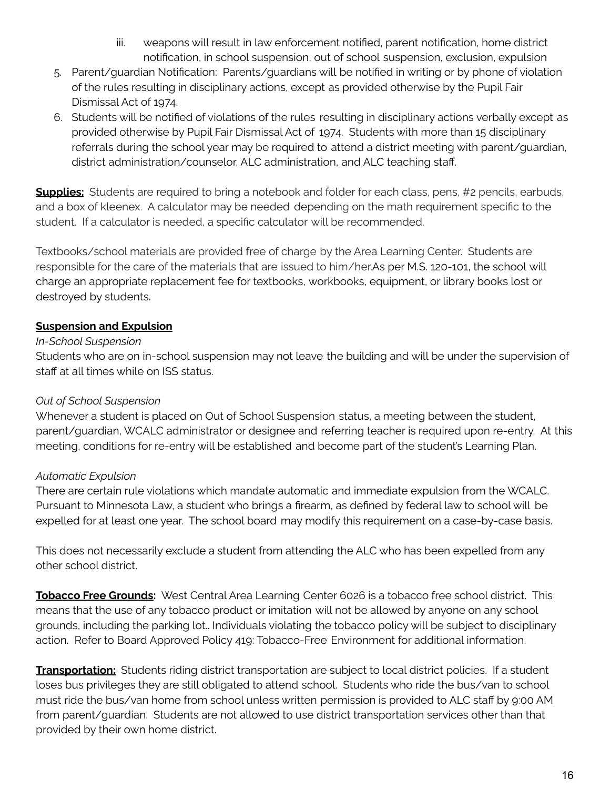- iii. weapons will result in law enforcement notified, parent notification, home district notification, in school suspension, out of school suspension, exclusion, expulsion
- 5. Parent/guardian Notification: Parents/guardians will be notified in writing or by phone of violation of the rules resulting in disciplinary actions, except as provided otherwise by the Pupil Fair Dismissal Act of 1974.
- 6. Students will be notified of violations of the rules resulting in disciplinary actions verbally except as provided otherwise by Pupil Fair Dismissal Act of 1974. Students with more than 15 disciplinary referrals during the school year may be required to attend a district meeting with parent/guardian, district administration/counselor, ALC administration, and ALC teaching staff.

**Supplies:** Students are required to bring a notebook and folder for each class, pens, #2 pencils, earbuds, and a box of kleenex. A calculator may be needed depending on the math requirement specific to the student. If a calculator is needed, a specific calculator will be recommended.

Textbooks/school materials are provided free of charge by the Area Learning Center. Students are responsible for the care of the materials that are issued to him/her.As per M.S. 120-101, the school will charge an appropriate replacement fee for textbooks, workbooks, equipment, or library books lost or destroyed by students.

#### **Suspension and Expulsion**

#### *In-School Suspension*

Students who are on in-school suspension may not leave the building and will be under the supervision of staff at all times while on ISS status.

#### *Out of School Suspension*

Whenever a student is placed on Out of School Suspension status, a meeting between the student, parent/guardian, WCALC administrator or designee and referring teacher is required upon re-entry. At this meeting, conditions for re-entry will be established and become part of the student's Learning Plan.

#### *Automatic Expulsion*

There are certain rule violations which mandate automatic and immediate expulsion from the WCALC. Pursuant to Minnesota Law, a student who brings a firearm, as defined by federal law to school will be expelled for at least one year. The school board may modify this requirement on a case-by-case basis.

This does not necessarily exclude a student from attending the ALC who has been expelled from any other school district.

**Tobacco Free Grounds:** West Central Area Learning Center 6026 is a tobacco free school district. This means that the use of any tobacco product or imitation will not be allowed by anyone on any school grounds, including the parking lot.. Individuals violating the tobacco policy will be subject to disciplinary action. Refer to Board Approved Policy 419: Tobacco-Free Environment for additional information.

**Transportation:** Students riding district transportation are subject to local district policies. If a student loses bus privileges they are still obligated to attend school. Students who ride the bus/van to school must ride the bus/van home from school unless written permission is provided to ALC staff by 9:00 AM from parent/guardian. Students are not allowed to use district transportation services other than that provided by their own home district.